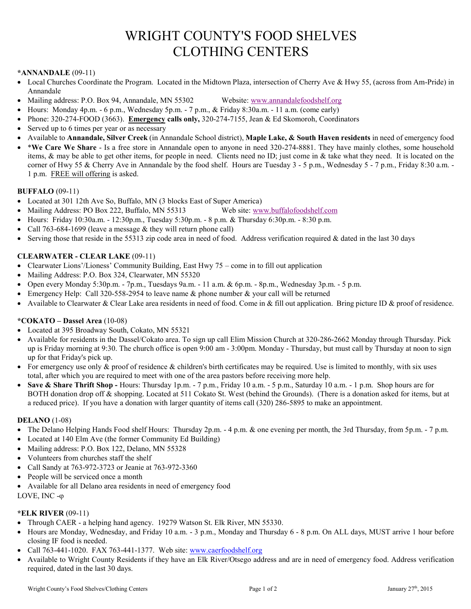# WRIGHT COUNTY'S FOOD SHELVES CLOTHING CENTERS

## **\*ANNANDALE** (09-11)

- Local Churches Coordinate the Program. Located in the Midtown Plaza, intersection of Cherry Ave & Hwy 55, (across from Am-Pride) in Annandale
- Mailing address: P.O. Box 94, Annandale, MN 55302 Website: [www.annandalefoodshelf.org](http://www.annandalefoodshelf.org/)
- Hours: Monday 4p.m. 6 p.m., Wednesday 5p.m. 7 p.m., & Friday 8:30a.m. 11 a.m. (come early)
- Phone: 320-274-FOOD (3663). **Emergency calls only,** 320-274-7155, Jean & Ed Skomoroh, Coordinators
- Served up to 6 times per year or as necessary
- Available to **Annandale, Silver Creek** (in Annandale School district), **Maple Lake, & South Haven residents** in need of emergency food
- \***We Care We Share**  Is a free store in Annandale open to anyone in need 320-274-8881. They have mainly clothes, some household items, & may be able to get other items, for people in need. Clients need no ID; just come in & take what they need. It is located on the corner of Hwy 55 & Cherry Ave in Annandale by the food shelf. Hours are Tuesday 3 - 5 p.m., Wednesday 5 - 7 p.m., Friday 8:30 a.m. - 1 p.m. FREE will offering is asked.

## **BUFFALO** (09-11)

- Located at 301 12th Ave So, Buffalo, MN (3 blocks East of Super America)
- Mailing Address: PO Box 222, Buffalo, MN 55313 Web site[: www.buffalofoodshelf.com](http://www.buffalofoodshelf.com/)
- Hours: Friday 10:30a.m. 12:30p.m., Tuesday 5:30p.m. 8 p.m. & Thursday 6:30p.m. 8:30 p.m.
- Call 763-684-1699 (leave a message & they will return phone call)
- Serving those that reside in the 55313 zip code area in need of food. Address verification required & dated in the last 30 days

## **CLEARWATER - CLEAR LAKE** (09-11)

- Clearwater Lions'/Lioness' Community Building, East Hwy 75 come in to fill out application
- Mailing Address: P.O. Box 324, Clearwater, MN 55320
- Open every Monday 5:30p.m. 7p.m., Tuesdays 9a.m. 11 a.m. & 6p.m. 8p.m., Wednesday 3p.m. 5 p.m.
- Emergency Help: Call 320-558-2954 to leave name  $\&$  phone number  $\&$  your call will be returned
- Available to Clearwater & Clear Lake area residents in need of food. Come in & fill out application. Bring picture ID & proof of residence.

## **\*COKATO – Dassel Area** (10-08)

- Located at 395 Broadway South, Cokato, MN 55321
- Available for residents in the Dassel/Cokato area. To sign up call Elim Mission Church at 320-286-2662 Monday through Thursday. Pick up is Friday morning at 9:30. The church office is open 9:00 am - 3:00pm. Monday - Thursday, but must call by Thursday at noon to sign up for that Friday's pick up.
- For emergency use only  $\&$  proof of residence  $\&$  children's birth certificates may be required. Use is limited to monthly, with six uses total, after which you are required to meet with one of the area pastors before receiving more help.
- **Save & Share Thrift Shop -** Hours: Thursday 1p.m. 7 p.m., Friday 10 a.m. 5 p.m., Saturday 10 a.m. 1 p.m. Shop hours are for BOTH donation drop off & shopping. Located at 511 Cokato St. West (behind the Grounds). (There is a donation asked for items, but at a reduced price). If you have a donation with larger quantity of items call (320) 286-5895 to make an appointment.

## **DELANO** (1-08)

- The Delano Helping Hands Food shelf Hours: Thursday 2p.m. 4 p.m. & one evening per month, the 3rd Thursday, from 5p.m. 7 p.m.
- Located at 140 Elm Ave (the former Community Ed Building)
- Mailing address: P.O. Box 122, Delano, MN 55328
- Volunteers from churches staff the shelf
- Call Sandy at 763-972-3723 or Jeanie at 763-972-3360
- People will be serviced once a month
- Available for all Delano area residents in need of emergency food

LOVE, INC -

## **\*ELK RIVER** (09-11)

- Through CAER a helping hand agency. 19279 Watson St. Elk River, MN 55330.
- Hours are Monday, Wednesday, and Friday 10 a.m. 3 p.m., Monday and Thursday 6 8 p.m. On ALL days, MUST arrive 1 hour before closing IF food is needed.
- Call 763-441-1020. FAX 763-441-1377. Web site: www.caerfoodshelf.org
- Available to Wright County Residents if they have an Elk River/Otsego address and are in need of emergency food. Address verification required, dated in the last 30 days.